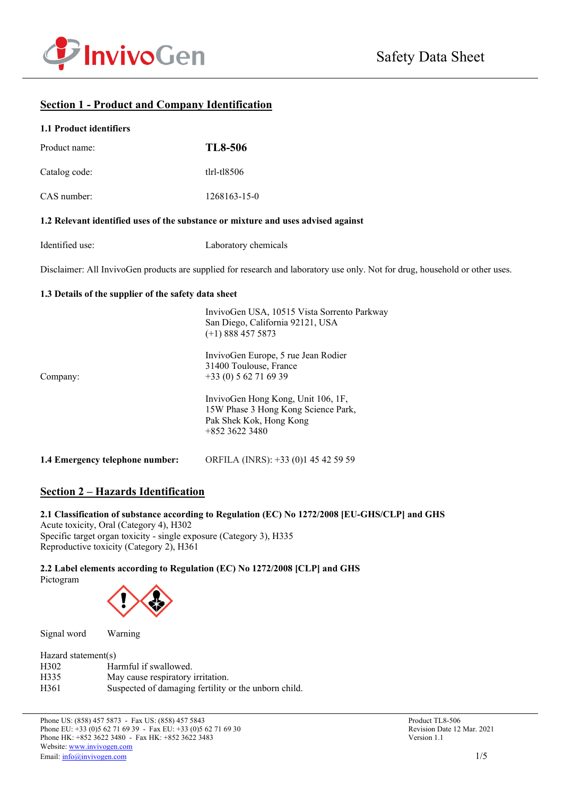

# **Section 1 - Product and Company Identification**

#### **1.1 Product identifiers**

| Product name: | TL8-506           |
|---------------|-------------------|
| Catalog code: | $t$ lrl-tl $8506$ |
| CAS number:   | 1268163-15-0      |

### **1.2 Relevant identified uses of the substance or mixture and uses advised against**

| Identified use: | Laboratory chemicals |
|-----------------|----------------------|
|-----------------|----------------------|

Disclaimer: All InvivoGen products are supplied for research and laboratory use only. Not for drug, household or other uses.

#### **1.3 Details of the supplier of the safety data sheet**

|                                 | InvivoGen USA, 10515 Vista Sorrento Parkway<br>San Diego, California 92121, USA<br>$(+1)$ 888 457 5873                 |
|---------------------------------|------------------------------------------------------------------------------------------------------------------------|
| Company:                        | InvivoGen Europe, 5 rue Jean Rodier<br>31400 Toulouse, France<br>$+33(0) 562716939$                                    |
|                                 | InvivoGen Hong Kong, Unit 106, 1F,<br>15W Phase 3 Hong Kong Science Park,<br>Pak Shek Kok, Hong Kong<br>$+85236223480$ |
| 1.4 Emergency telephone number: | ORFILA (INRS): +33 (0)1 45 42 59 59                                                                                    |

# **Section 2 – Hazards Identification**

# **2.1 Classification of substance according to Regulation (EC) No 1272/2008 [EU-GHS/CLP] and GHS**

Acute toxicity, Oral (Category 4), H302 Specific target organ toxicity - single exposure (Category 3), H335 Reproductive toxicity (Category 2), H361

#### **2.2 Label elements according to Regulation (EC) No 1272/2008 [CLP] and GHS** Pictogram



Signal word Warning

| Hazard statement(s) |                                                      |  |  |  |
|---------------------|------------------------------------------------------|--|--|--|
| H <sub>302</sub>    | Harmful if swallowed.                                |  |  |  |
| H335                | May cause respiratory irritation.                    |  |  |  |
| H <sub>361</sub>    | Suspected of damaging fertility or the unborn child. |  |  |  |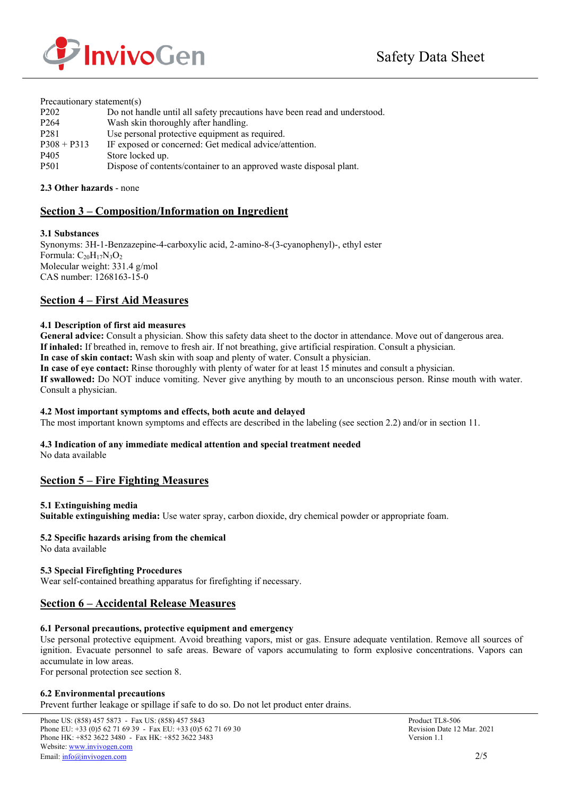

| Precautionary statement(s) |                                                                           |  |  |  |
|----------------------------|---------------------------------------------------------------------------|--|--|--|
| P <sub>202</sub>           | Do not handle until all safety precautions have been read and understood. |  |  |  |
| P <sub>264</sub>           | Wash skin thoroughly after handling.                                      |  |  |  |
| P <sub>281</sub>           | Use personal protective equipment as required.                            |  |  |  |
| $P308 + P313$              | IF exposed or concerned: Get medical advice/attention.                    |  |  |  |
| P <sub>405</sub>           | Store locked up.                                                          |  |  |  |
| P <sub>501</sub>           | Dispose of contents/container to an approved waste disposal plant.        |  |  |  |

### **2.3 Other hazards** - none

# **Section 3 – Composition/Information on Ingredient**

### **3.1 Substances**

Synonyms: 3H-1-Benzazepine-4-carboxylic acid, 2-amino-8-(3-cyanophenyl)-, ethyl ester Formula: C<sub>20</sub>H<sub>17</sub>N<sub>3</sub>O<sub>2</sub> Molecular weight: 331.4 g/mol CAS number: 1268163-15-0

### **Section 4 – First Aid Measures**

### **4.1 Description of first aid measures**

**General advice:** Consult a physician. Show this safety data sheet to the doctor in attendance. Move out of dangerous area. **If inhaled:** If breathed in, remove to fresh air. If not breathing, give artificial respiration. Consult a physician. **In case of skin contact:** Wash skin with soap and plenty of water. Consult a physician. **In case of eye contact:** Rinse thoroughly with plenty of water for at least 15 minutes and consult a physician.

**If swallowed:** Do NOT induce vomiting. Never give anything by mouth to an unconscious person. Rinse mouth with water. Consult a physician.

### **4.2 Most important symptoms and effects, both acute and delayed**

The most important known symptoms and effects are described in the labeling (see section 2.2) and/or in section 11.

### **4.3 Indication of any immediate medical attention and special treatment needed**

No data available

# **Section 5 – Fire Fighting Measures**

### **5.1 Extinguishing media**

**Suitable extinguishing media:** Use water spray, carbon dioxide, dry chemical powder or appropriate foam.

### **5.2 Specific hazards arising from the chemical**

No data available

### **5.3 Special Firefighting Procedures**

Wear self-contained breathing apparatus for firefighting if necessary.

# **Section 6 – Accidental Release Measures**

### **6.1 Personal precautions, protective equipment and emergency**

Use personal protective equipment. Avoid breathing vapors, mist or gas. Ensure adequate ventilation. Remove all sources of ignition. Evacuate personnel to safe areas. Beware of vapors accumulating to form explosive concentrations. Vapors can accumulate in low areas.

For personal protection see section 8.

### **6.2 Environmental precautions**

Prevent further leakage or spillage if safe to do so. Do not let product enter drains.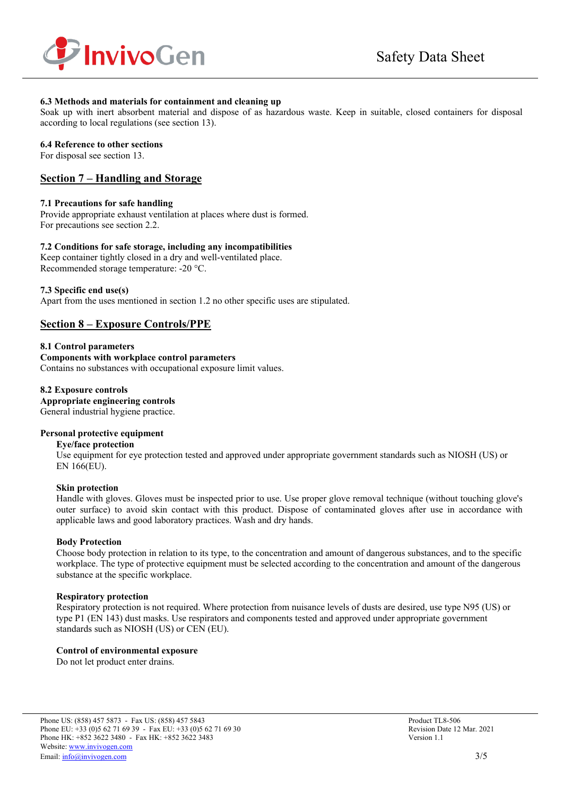

### **6.3 Methods and materials for containment and cleaning up**

Soak up with inert absorbent material and dispose of as hazardous waste. Keep in suitable, closed containers for disposal according to local regulations (see section 13).

### **6.4 Reference to other sections**

For disposal see section 13.

### **Section 7 – Handling and Storage**

### **7.1 Precautions for safe handling**

Provide appropriate exhaust ventilation at places where dust is formed. For precautions see section 2.2.

### **7.2 Conditions for safe storage, including any incompatibilities**

Keep container tightly closed in a dry and well-ventilated place. Recommended storage temperature: -20 °C.

### **7.3 Specific end use(s)**

Apart from the uses mentioned in section 1.2 no other specific uses are stipulated.

# **Section 8 – Exposure Controls/PPE**

**8.1 Control parameters Components with workplace control parameters**  Contains no substances with occupational exposure limit values.

**8.2 Exposure controls Appropriate engineering controls** General industrial hygiene practice.

### **Personal protective equipment**

#### **Eye/face protection**

Use equipment for eye protection tested and approved under appropriate government standards such as NIOSH (US) or EN 166(EU).

### **Skin protection**

Handle with gloves. Gloves must be inspected prior to use. Use proper glove removal technique (without touching glove's outer surface) to avoid skin contact with this product. Dispose of contaminated gloves after use in accordance with applicable laws and good laboratory practices. Wash and dry hands.

### **Body Protection**

Choose body protection in relation to its type, to the concentration and amount of dangerous substances, and to the specific workplace. The type of protective equipment must be selected according to the concentration and amount of the dangerous substance at the specific workplace.

### **Respiratory protection**

Respiratory protection is not required. Where protection from nuisance levels of dusts are desired, use type N95 (US) or type P1 (EN 143) dust masks. Use respirators and components tested and approved under appropriate government standards such as NIOSH (US) or CEN (EU).

### **Control of environmental exposure**

Do not let product enter drains.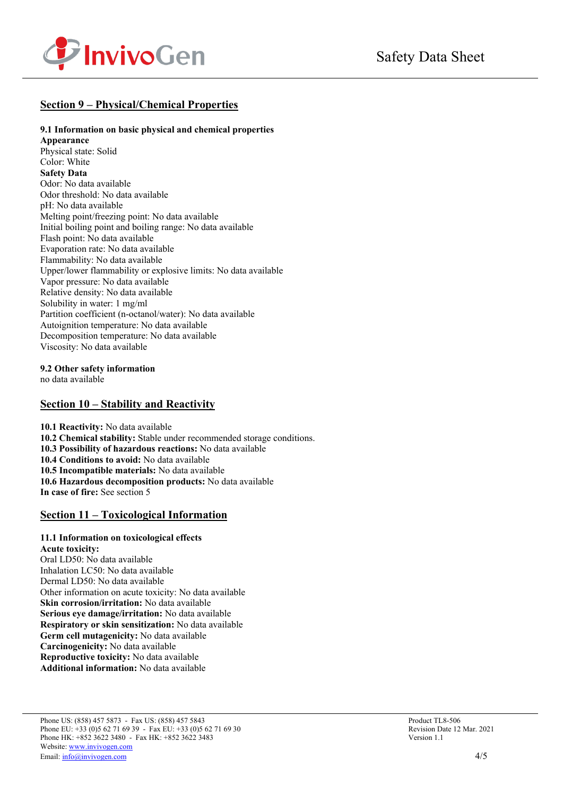

# **Section 9 – Physical/Chemical Properties**

### **9.1 Information on basic physical and chemical properties**

**Appearance** Physical state: Solid Color: White **Safety Data** Odor: No data available Odor threshold: No data available pH: No data available Melting point/freezing point: No data available Initial boiling point and boiling range: No data available Flash point: No data available Evaporation rate: No data available Flammability: No data available Upper/lower flammability or explosive limits: No data available Vapor pressure: No data available Relative density: No data available Solubility in water: 1 mg/ml Partition coefficient (n-octanol/water): No data available Autoignition temperature: No data available Decomposition temperature: No data available Viscosity: No data available

**9.2 Other safety information** 

no data available

# **Section 10 – Stability and Reactivity**

**10.1 Reactivity:** No data available **10.2 Chemical stability:** Stable under recommended storage conditions. **10.3 Possibility of hazardous reactions:** No data available **10.4 Conditions to avoid:** No data available **10.5 Incompatible materials:** No data available **10.6 Hazardous decomposition products:** No data available **In case of fire:** See section 5

# **Section 11 – Toxicological Information**

#### **11.1 Information on toxicological effects Acute toxicity:**

Oral LD50: No data available Inhalation LC50: No data available Dermal LD50: No data available Other information on acute toxicity: No data available **Skin corrosion/irritation:** No data available **Serious eye damage/irritation:** No data available **Respiratory or skin sensitization:** No data available **Germ cell mutagenicity:** No data available **Carcinogenicity:** No data available **Reproductive toxicity:** No data available **Additional information:** No data available